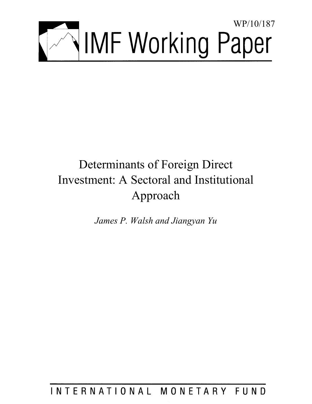

# Determinants of Foreign Direct Investment: A Sectoral and Institutional Approach

*James P. Walsh and Jiangyan Yu* 

INTERNATIONAL MONETARY FUND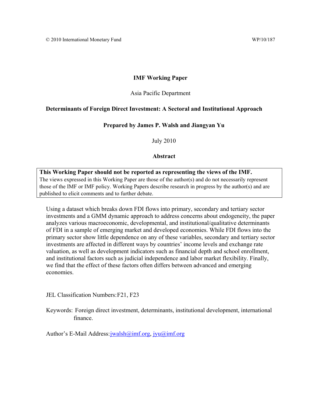# **IMF Working Paper**

# Asia Pacific Department

# **Determinants of Foreign Direct Investment: A Sectoral and Institutional Approach**

# **Prepared by James P. Walsh and Jiangyan Yu**

July 2010

# **Abstract**

# **This Working Paper should not be reported as representing the views of the IMF.** The views expressed in this Working Paper are those of the author(s) and do not necessarily represent those of the IMF or IMF policy. Working Papers describe research in progress by the author(s) and are published to elicit comments and to further debate.

Using a dataset which breaks down FDI flows into primary, secondary and tertiary sector investments and a GMM dynamic approach to address concerns about endogeneity, the paper analyzes various macroeconomic, developmental, and institutional/qualitative determinants of FDI in a sample of emerging market and developed economies. While FDI flows into the primary sector show little dependence on any of these variables, secondary and tertiary sector investments are affected in different ways by countries' income levels and exchange rate valuation, as well as development indicators such as financial depth and school enrollment, and institutional factors such as judicial independence and labor market flexibility. Finally, we find that the effect of these factors often differs between advanced and emerging economies.

JEL Classification Numbers: F21, F23

Keywords: Foreign direct investment, determinants, institutional development, international finance.

Author's E-Mail Address: jwalsh@imf.org, jyu@imf.org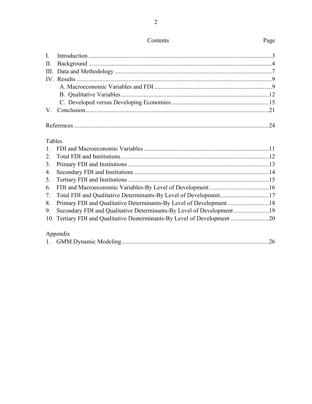# Tables

| 2. |                                                                           |  |
|----|---------------------------------------------------------------------------|--|
|    |                                                                           |  |
|    |                                                                           |  |
|    |                                                                           |  |
|    |                                                                           |  |
|    | 7. Total FDI and Qualitative Determinants-By Level of Development17       |  |
|    |                                                                           |  |
|    |                                                                           |  |
|    | 10. Tertiary FDI and Qualitative Deaterminants-By Level of Development 20 |  |
|    |                                                                           |  |
|    | Appendix                                                                  |  |

Contents

# Page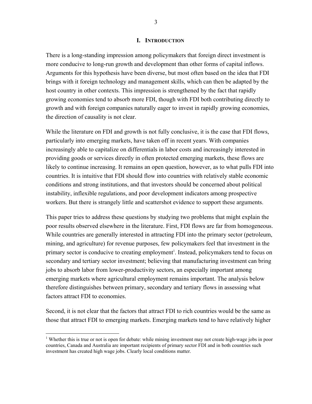#### **I. INTRODUCTION**

There is a long-standing impression among policymakers that foreign direct investment is more conducive to long-run growth and development than other forms of capital inflows. Arguments for this hypothesis have been diverse, but most often based on the idea that FDI brings with it foreign technology and management skills, which can then be adapted by the host country in other contexts. This impression is strengthened by the fact that rapidly growing economies tend to absorb more FDI, though with FDI both contributing directly to growth and with foreign companies naturally eager to invest in rapidly growing economies, the direction of causality is not clear.

While the literature on FDI and growth is not fully conclusive, it is the case that FDI flows, particularly into emerging markets, have taken off in recent years. With companies increasingly able to capitalize on differentials in labor costs and increasingly interested in providing goods or services directly in often protected emerging markets, these flows are likely to continue increasing. It remains an open question, however, as to what pulls FDI into countries. It is intuitive that FDI should flow into countries with relatively stable economic conditions and strong institutions, and that investors should be concerned about political instability, inflexible regulations, and poor development indicators among prospective workers. But there is strangely little and scattershot evidence to support these arguments.

This paper tries to address these questions by studying two problems that might explain the poor results observed elsewhere in the literature. First, FDI flows are far from homogeneous. While countries are generally interested in attracting FDI into the primary sector (petroleum, mining, and agriculture) for revenue purposes, few policymakers feel that investment in the primary sector is conducive to creating employment<sup>1</sup>. Instead, policymakers tend to focus on secondary and tertiary sector investment; believing that manufacturing investment can bring jobs to absorb labor from lower-productivity sectors, an especially important among emerging markets where agricultural employment remains important. The analysis below therefore distinguishes between primary, secondary and tertiary flows in assessing what factors attract FDI to economies.

Second, it is not clear that the factors that attract FDI to rich countries would be the same as those that attract FDI to emerging markets. Emerging markets tend to have relatively higher

 $\overline{a}$ 

<sup>&</sup>lt;sup>1</sup> Whether this is true or not is open for debate: while mining investment may not create high-wage jobs in poor countries, Canada and Australia are important recipients of primary sector FDI and in both countries such investment has created high wage jobs. Clearly local conditions matter.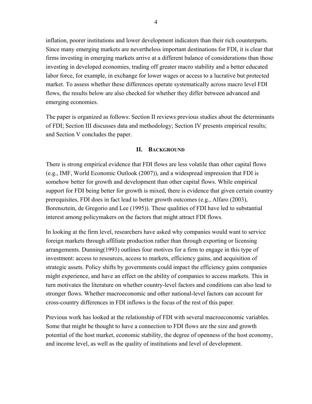inflation, poorer institutions and lower development indicators than their rich counterparts. Since many emerging markets are nevertheless important destinations for FDI, it is clear that firms investing in emerging markets arrive at a different balance of considerations than those investing in developed economies, trading off greater macro stability and a better educated labor force, for example, in exchange for lower wages or access to a lucrative but protected market. To assess whether these differences operate systematically across macro level FDI flows, the results below are also checked for whether they differ between advanced and emerging economies.

The paper is organized as follows: Section II reviews previous studies about the determinants of FDI; Section III discusses data and methodology; Section IV presents empirical results; and Section V concludes the paper.

### **II. BACKGROUND**

There is strong empirical evidence that FDI flows are less volatile than other capital flows (e.g., IMF, World Economic Outlook (2007)), and a widespread impression that FDI is somehow better for growth and development than other capital flows. While empirical support for FDI being better for growth is mixed, there is evidence that given certain country prerequisites, FDI does in fact lead to better growth outcomes (e.g., Alfaro (2003), Borensztein, de Gregorio and Lee (1995)). These qualities of FDI have led to substantial interest among policymakers on the factors that might attract FDI flows.

In looking at the firm level, researchers have asked why companies would want to service foreign markets through affiliate production rather than through exporting or licensing arrangements. Dunning(1993) outlines four motives for a firm to engage in this type of investment: access to resources, access to markets, efficiency gains, and acquisition of strategic assets. Policy shifts by governments could impact the efficiency gains companies might experience, and have an effect on the ability of companies to access markets. This in turn motivates the literature on whether country-level factors and conditions can also lead to stronger flows. Whether macroeconomic and other national-level factors can account for cross-country differences in FDI inflows is the focus of the rest of this paper.

Previous work has looked at the relationship of FDI with several macroeconomic variables. Some that might be thought to have a connection to FDI flows are the size and growth potential of the host market, economic stability, the degree of openness of the host economy, and income level, as well as the quality of institutions and level of development.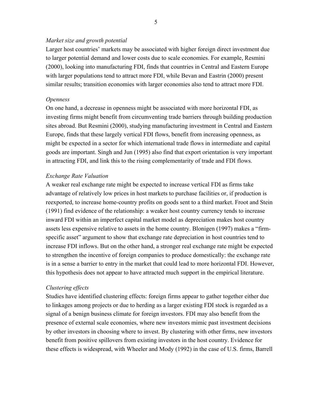### *Market size and growth potential*

Larger host countries' markets may be associated with higher foreign direct investment due to larger potential demand and lower costs due to scale economies. For example, Resmini (2000), looking into manufacturing FDI, finds that countries in Central and Eastern Europe with larger populations tend to attract more FDI, while Bevan and Eastrin (2000) present similar results; transition economies with larger economies also tend to attract more FDI.

#### *Openness*

On one hand, a decrease in openness might be associated with more horizontal FDI, as investing firms might benefit from circumventing trade barriers through building production sites abroad. But Resmini (2000), studying manufacturing investment in Central and Eastern Europe, finds that these largely vertical FDI flows, benefit from increasing openness, as might be expected in a sector for which international trade flows in intermediate and capital goods are important. Singh and Jun (1995) also find that export orientation is very important in attracting FDI, and link this to the rising complementarity of trade and FDI flows.

# *Exchange Rate Valuation*

A weaker real exchange rate might be expected to increase vertical FDI as firms take advantage of relatively low prices in host markets to purchase facilities or, if production is reexported, to increase home-country profits on goods sent to a third market. Froot and Stein (1991) find evidence of the relationship: a weaker host country currency tends to increase inward FDI within an imperfect capital market model as depreciation makes host country assets less expensive relative to assets in the home country. Blonigen (1997) makes a "firmspecific asset" argument to show that exchange rate depreciation in host countries tend to increase FDI inflows. But on the other hand, a stronger real exchange rate might be expected to strengthen the incentive of foreign companies to produce domestically: the exchange rate is in a sense a barrier to entry in the market that could lead to more horizontal FDI. However, this hypothesis does not appear to have attracted much support in the empirical literature.

#### *Clustering effects*

Studies have identified clustering effects: foreign firms appear to gather together either due to linkages among projects or due to herding as a larger existing FDI stock is regarded as a signal of a benign business climate for foreign investors. FDI may also benefit from the presence of external scale economies, where new investors mimic past investment decisions by other investors in choosing where to invest. By clustering with other firms, new investors benefit from positive spillovers from existing investors in the host country. Evidence for these effects is widespread, with Wheeler and Mody (1992) in the case of U.S. firms, Barrell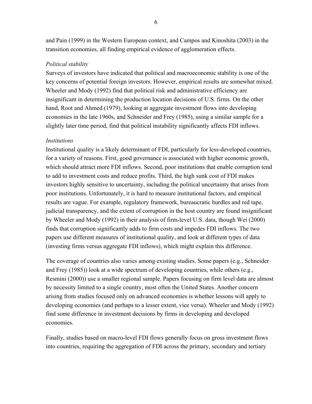and Pain (1999) in the Western European context, and Campos and Kinoshita (2003) in the transition economies, all finding empirical evidence of agglomeration effects.

# *Political stability*

Surveys of investors have indicated that political and macroeconomic stability is one of the key concerns of potential foreign investors. However, empirical results are somewhat mixed. Wheeler and Mody (1992) find that political risk and administrative efficiency are insignificant in determining the production location decisions of U.S. firms. On the other hand, Root and Ahmed (1979), looking at aggregate investment flows into developing economies in the late 1960s, and Schneider and Frey (1985), using a similar sample for a slightly later time period, find that political instability significantly affects FDI inflows.

# *Institutions*

Institutional quality is a likely determinant of FDI, particularly for less-developed countries, for a variety of reasons. First, good governance is associated with higher economic growth, which should attract more FDI inflows. Second, poor institutions that enable corruption tend to add to investment costs and reduce profits. Third, the high sunk cost of FDI makes investors highly sensitive to uncertainty, including the political uncertainty that arises from poor institutions. Unfortunately, it is hard to measure institutional factors, and empirical results are vague. For example, regulatory framework, bureaucratic hurdles and red tape, judicial transparency, and the extent of corruption in the host country are found insignificant by Wheeler and Mody (1992) in their analysis of firm-level U.S. data, though Wei (2000) finds that corruption significantly adds to firm costs and impedes FDI inflows. The two papers use different measures of institutional quality, and look at different types of data (investing firms versus aggregate FDI inflows), which might explain this difference.

The coverage of countries also varies among existing studies. Some papers (e.g., Schneider and Frey (1985)) look at a wide spectrum of developing countries, while others (e.g., Resmini (2000)) use a smaller regional sample. Papers focusing on firm level data are almost by necessity limited to a single country, most often the United States. Another concern arising from studies focused only on advanced economies is whether lessons will apply to developing economies (and perhaps to a lesser extent, vice versa). Wheeler and Mody (1992) find some difference in investment decisions by firms in developing and developed economies.

Finally, studies based on macro-level FDI flows generally focus on gross investment flows into countries, requiring the aggregation of FDI across the primary, secondary and tertiary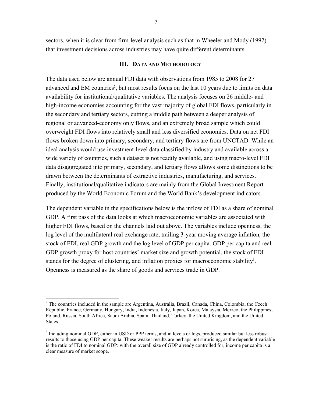sectors, when it is clear from firm-level analysis such as that in Wheeler and Mody (1992) that investment decisions across industries may have quite different determinants.

#### **III. DATA AND METHODOLOGY**

The data used below are annual FDI data with observations from 1985 to 2008 for 27 advanced and EM countries<sup>2</sup>, but most results focus on the last 10 years due to limits on data availability for institutional/qualitative variables. The analysis focuses on 26 middle- and high-income economies accounting for the vast majority of global FDI flows, particularly in the secondary and tertiary sectors, cutting a middle path between a deeper analysis of regional or advanced-economy only flows, and an extremely broad sample which could overweight FDI flows into relatively small and less diversified economies. Data on net FDI flows broken down into primary, secondary, and tertiary flows are from UNCTAD. While an ideal analysis would use investment-level data classified by industry and available across a wide variety of countries, such a dataset is not readily available, and using macro-level FDI data disaggregated into primary, secondary, and tertiary flows allows some distinctions to be drawn between the determinants of extractive industries, manufacturing, and services. Finally, institutional/qualitative indicators are mainly from the Global Investment Report produced by the World Economic Forum and the World Bank's development indicators.

The dependent variable in the specifications below is the inflow of FDI as a share of nominal GDP. A first pass of the data looks at which macroeconomic variables are associated with higher FDI flows, based on the channels laid out above. The variables include openness, the log level of the multilateral real exchange rate, trailing 3-year moving average inflation, the stock of FDI, real GDP growth and the log level of GDP per capita. GDP per capita and real GDP growth proxy for host countries' market size and growth potential, the stock of FDI stands for the degree of clustering, and inflation proxies for macroeconomic stability<sup>3</sup>. Openness is measured as the share of goods and services trade in GDP.

1

<sup>&</sup>lt;sup>2</sup> The countries included in the sample are Argentina, Australia, Brazil, Canada, China, Colombia, the Czech Republic, France, Germany, Hungary, India, Indonesia, Italy, Japan, Korea, Malaysia, Mexico, the Philippines, Poland, Russia, South Africa, Saudi Arabia, Spain, Thailand, Turkey, the United Kingdom, and the United States.

<sup>&</sup>lt;sup>3</sup> Including nominal GDP, either in USD or PPP terms, and in levels or logs, produced similar but less robust results to those using GDP per capita. These weaker results are perhaps not surprising, as the dependent variable is the ratio of FDI to nominal GDP: with the overall size of GDP already controlled for, income per capita is a clear measure of market scope.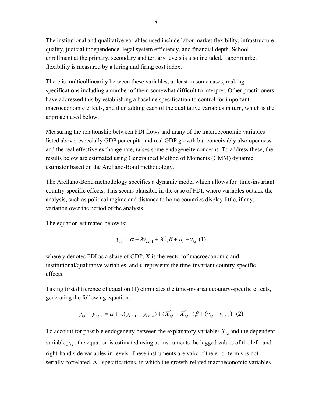The institutional and qualitative variables used include labor market flexibility, infrastructure quality, judicial independence, legal system efficiency, and financial depth. School enrollment at the primary, secondary and tertiary levels is also included. Labor market flexibility is measured by a hiring and firing cost index.

There is multicollinearity between these variables, at least in some cases, making specifications including a number of them somewhat difficult to interpret. Other practitioners have addressed this by establishing a baseline specification to control for important macroeconomic effects, and then adding each of the qualitative variables in turn, which is the approach used below.

Measuring the relationship between FDI flows and many of the macroeconomic variables listed above, especially GDP per capita and real GDP growth but conceivably also openness and the real effective exchange rate, raises some endogeneity concerns. To address these, the results below are estimated using Generalized Method of Moments (GMM) dynamic estimator based on the Arellano-Bond methodology.

The Arellano-Bond methodology specifies a dynamic model which allows for time-invariant country-specific effects. This seems plausible in the case of FDI, where variables outside the analysis, such as political regime and distance to home countries display little, if any, variation over the period of the analysis.

The equation estimated below is:

$$
y_{i,t} = \alpha + \lambda y_{i,t-1} + X_{i,t}'\beta + \mu_i + v_{i,t} (1)
$$

where y denotes FDI as a share of GDP, X is the vector of macroeconomic and institutional/qualitative variables, and µ represents the time-invariant country-specific effects.

Taking first difference of equation (1) eliminates the time-invariant country-specific effects, generating the following equation:

$$
y_{i,t} - y_{i,t-1} = \alpha + \lambda (y_{i,t-1} - y_{i,t-2}) + (X'_{i,t} - X'_{i,t-1})\beta + (y_{i,t} - y_{i,t-1})
$$
 (2)

To account for possible endogeneity between the explanatory variables  $X_i$ , and the dependent variable  $y_{i,t}$ , the equation is estimated using as instruments the lagged values of the left- and right-hand side variables in levels. These instruments are valid if the error term ν is not serially correlated. All specifications, in which the growth-related macroeconomic variables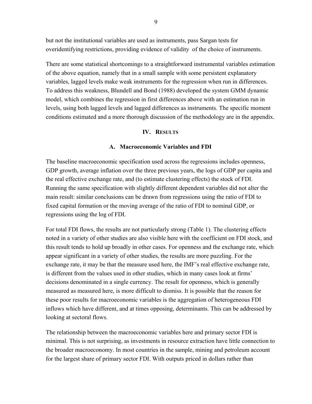but not the institutional variables are used as instruments, pass Sargan tests for overidentifying restrictions, providing evidence of validity of the choice of instruments.

There are some statistical shortcomings to a straightforward instrumental variables estimation of the above equation, namely that in a small sample with some persistent explanatory variables, lagged levels make weak instruments for the regression when run in differences. To address this weakness, Blundell and Bond (1988) developed the system GMM dynamic model, which combines the regression in first differences above with an estimation run in levels, using both lagged levels and lagged differences as instruments. The specific moment conditions estimated and a more thorough discussion of the methodology are in the appendix.

### **IV. RESULTS**

### **A. Macroeconomic Variables and FDI**

The baseline macroeconomic specification used across the regressions includes openness, GDP growth, average inflation over the three previous years, the logs of GDP per capita and the real effective exchange rate, and (to estimate clustering effects) the stock of FDI. Running the same specification with slightly different dependent variables did not alter the main result: similar conclusions can be drawn from regressions using the ratio of FDI to fixed capital formation or the moving average of the ratio of FDI to nominal GDP, or regressions using the log of FDI.

For total FDI flows, the results are not particularly strong (Table 1). The clustering effects noted in a variety of other studies are also visible here with the coefficient on FDI stock, and this result tends to hold up broadly in other cases. For openness and the exchange rate, which appear significant in a variety of other studies, the results are more puzzling. For the exchange rate, it may be that the measure used here, the IMF's real effective exchange rate, is different from the values used in other studies, which in many cases look at firms' decisions denominated in a single currency. The result for openness, which is generally measured as measured here, is more difficult to dismiss. It is possible that the reason for these poor results for macroeconomic variables is the aggregation of heterogeneous FDI inflows which have different, and at times opposing, determinants. This can be addressed by looking at sectoral flows.

The relationship between the macroeconomic variables here and primary sector FDI is minimal. This is not surprising, as investments in resource extraction have little connection to the broader macroeconomy. In most countries in the sample, mining and petroleum account for the largest share of primary sector FDI. With outputs priced in dollars rather than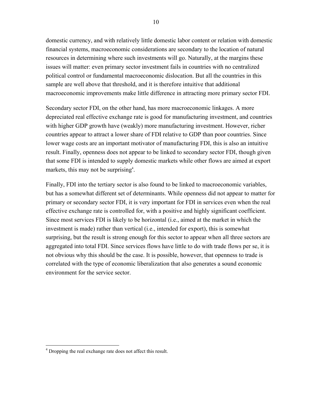domestic currency, and with relatively little domestic labor content or relation with domestic financial systems, macroeconomic considerations are secondary to the location of natural resources in determining where such investments will go. Naturally, at the margins these issues will matter: even primary sector investment fails in countries with no centralized political control or fundamental macroeconomic dislocation. But all the countries in this sample are well above that threshold, and it is therefore intuitive that additional macroeconomic improvements make little difference in attracting more primary sector FDI.

Secondary sector FDI, on the other hand, has more macroeconomic linkages. A more depreciated real effective exchange rate is good for manufacturing investment, and countries with higher GDP growth have (weakly) more manufacturing investment. However, richer countries appear to attract a lower share of FDI relative to GDP than poor countries. Since lower wage costs are an important motivator of manufacturing FDI, this is also an intuitive result. Finally, openness does not appear to be linked to secondary sector FDI, though given that some FDI is intended to supply domestic markets while other flows are aimed at export markets, this may not be surprising<sup>4</sup>.

Finally, FDI into the tertiary sector is also found to be linked to macroeconomic variables, but has a somewhat different set of determinants. While openness did not appear to matter for primary or secondary sector FDI, it is very important for FDI in services even when the real effective exchange rate is controlled for, with a positive and highly significant coefficient. Since most services FDI is likely to be horizontal (i.e., aimed at the market in which the investment is made) rather than vertical (i.e., intended for export), this is somewhat surprising, but the result is strong enough for this sector to appear when all three sectors are aggregated into total FDI. Since services flows have little to do with trade flows per se, it is not obvious why this should be the case. It is possible, however, that openness to trade is correlated with the type of economic liberalization that also generates a sound economic environment for the service sector.

 4 Dropping the real exchange rate does not affect this result.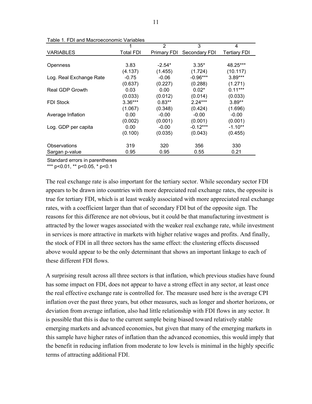|                         | 1                | $\mathcal{P}$      | 3             | 4                   |
|-------------------------|------------------|--------------------|---------------|---------------------|
| <b>VARIABLES</b>        | <b>Total FDI</b> | <b>Primary FDI</b> | Secondary FDI | <b>Tertiary FDI</b> |
|                         |                  |                    |               |                     |
| Openness                | 3.83             | $-2.54*$           | $3.35*$       | 48.25***            |
|                         | (4.137)          | (1.455)            | (1.724)       | (10.117)            |
| Log. Real Exchange Rate | $-0.75$          | $-0.06$            | $-0.96***$    | $3.89***$           |
|                         | (0.637)          | (0.227)            | (0.288)       | (1.271)             |
| Real GDP Growth         | 0.03             | 0.00               | $0.02*$       | $0.11***$           |
|                         | (0.033)          | (0.012)            | (0.014)       | (0.033)             |
| <b>FDI Stock</b>        | $3.36***$        | $0.83**$           | $2.24***$     | $3.89**$            |
|                         | (1.067)          | (0.348)            | (0.424)       | (1.696)             |
| Average Inflation       | 0.00             | $-0.00$            | $-0.00$       | $-0.00$             |
|                         | (0.002)          | (0.001)            | (0.001)       | (0.001)             |
| Log. GDP per capita     | 0.00             | $-0.00$            | $-0.12***$    | $-1.10**$           |
|                         | (0.100)          | (0.035)            | (0.043)       | (0.455)             |
|                         |                  |                    |               |                     |
| Observations            | 319              | 320                | 356           | 330                 |
| Sargan p-value          | 0.95             | 0.95               | 0.55          | 0.21                |

Table 1. FDI and Macroeconomic Variables

Standard errors in parentheses

\*\*\* p<0.01, \*\* p<0.05, \* p<0.1

The real exchange rate is also important for the tertiary sector. While secondary sector FDI appears to be drawn into countries with more depreciated real exchange rates, the opposite is true for tertiary FDI, which is at least weakly associated with more appreciated real exchange rates, with a coefficient larger than that of secondary FDI but of the opposite sign. The reasons for this difference are not obvious, but it could be that manufacturing investment is attracted by the lower wages associated with the weaker real exchange rate, while investment in services is more attractive in markets with higher relative wages and profits. And finally, the stock of FDI in all three sectors has the same effect: the clustering effects discussed above would appear to be the only determinant that shows an important linkage to each of these different FDI flows.

A surprising result across all three sectors is that inflation, which previous studies have found has some impact on FDI, does not appear to have a strong effect in any sector, at least once the real effective exchange rate is controlled for. The measure used here is the average CPI inflation over the past three years, but other measures, such as longer and shorter horizons, or deviation from average inflation, also had little relationship with FDI flows in any sector. It is possible that this is due to the current sample being biased toward relatively stable emerging markets and advanced economies, but given that many of the emerging markets in this sample have higher rates of inflation than the advanced economies, this would imply that the benefit in reducing inflation from moderate to low levels is minimal in the highly specific terms of attracting additional FDI.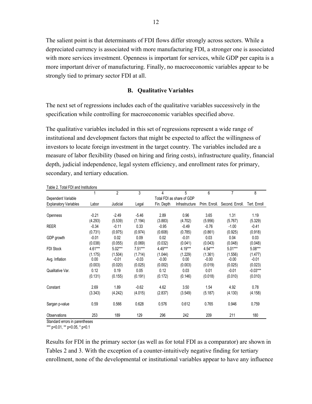The salient point is that determinants of FDI flows differ strongly across sectors. While a depreciated currency is associated with more manufacturing FDI, a stronger one is associated with more services investment. Openness is important for services, while GDP per capita is a more important driver of manufacturing. Finally, no macroeconomic variables appear to be strongly tied to primary sector FDI at all.

#### **B. Qualitative Variables**

The next set of regressions includes each of the qualitative variables successively in the specification while controlling for macroeconomic variables specified above.

The qualitative variables included in this set of regressions represent a wide range of institutional and development factors that might be expected to affect the willingness of investors to locate foreign investment in the target country. The variables included are a measure of labor flexibility (based on hiring and firing costs), infrastructure quality, financial depth, judicial independence, legal system efficiency, and enrollment rates for primary, secondary, and tertiary education.

|                              |         | $\overline{2}$ | 3         | 4          | 5                         | 6             |                 | 8            |
|------------------------------|---------|----------------|-----------|------------|---------------------------|---------------|-----------------|--------------|
| Dependent Variable           |         |                |           |            | Total FDI as share of GDP |               |                 |              |
| <b>Explanatory Variables</b> | Labor   | Judicial       | Legal     | Fin. Depth | Infrastructure            | Prim. Enroll. | Second, Enroll, | Tert. Enroll |
|                              |         |                |           |            |                           |               |                 |              |
| Openness                     | $-0.21$ | $-2.49$        | $-5.46$   | 2.89       | 0.96                      | 3.65          | 1.31            | 1.19         |
|                              | (4.293) | (5.539)        | (7.194)   | (3.883)    | (4.702)                   | (5.956)       | (5.767)         | (5.329)      |
| <b>REER</b>                  | $-0.34$ | $-0.11$        | 0.33      | $-0.95$    | $-0.49$                   | $-0.76$       | $-1.00$         | $-0.41$      |
|                              | (0.731) | (0.975)        | (0.974)   | (0.608)    | (0.785)                   | (0.861)       | (0.925)         | (0.918)      |
| GDP growth                   | $-0.01$ | 0.02           | 0.09      | 0.02       | $-0.01$                   | 0.03          | 0.04            | 0.03         |
|                              | (0.038) | (0.055)        | (0.069)   | (0.032)    | (0.041)                   | (0.043)       | (0.048)         | (0.048)      |
| <b>FDI Stock</b>             | 4.61*** | $5.02***$      | $7.51***$ | 4.49***    | 4.19***                   | 4.54***       | $5.01***$       | 5.08***      |
|                              | (1.175) | (1.504)        | (1.714)   | (1.044)    | (1.229)                   | (1.361)       | (1.556)         | (1.477)      |
| Avg. Inflation               | 0.00    | $-0.01$        | $-0.03$   | $-0.00$    | 0.00                      | $-0.00$       | $-0.00$         | $-0.01$      |
|                              | (0.003) | (0.020)        | (0.025)   | (0.002)    | (0.003)                   | (0.019)       | (0.025)         | (0.023)      |
| Qualitative Var.             | 0.12    | 0.19           | 0.05      | 0.12       | 0.03                      | 0.01          | $-0.01$         | $-0.03***$   |
|                              | (0.131) | (0.155)        | (0.191)   | (0.172)    | (0.146)                   | (0.018)       | (0.010)         | (0.010)      |
| Constant                     | 2.69    | 1.89           | $-0.62$   | 4.62       | 3.50                      | 1.54          | 4.92            | 0.78         |
|                              | (3.343) | (4.242)        | (4.015)   | (2.837)    | (3.549)                   | (5.187)       | (4.130)         | (4.158)      |
| Sargan p-value               | 0.59    | 0.566          | 0.628     | 0.576      | 0.612                     | 0.765         | 0.946           | 0.759        |
| Observations                 | 253     | 189            | 129       | 296        | 242                       | 209           | 211             | 180          |

Table 2. Total FDI and Institutions

Standard errors in parentheses

\*\*\* p<0.01, \*\* p<0.05, \* p<0.1

Results for FDI in the primary sector (as well as for total FDI as a comparator) are shown in Tables 2 and 3. With the exception of a counter-intuitively negative finding for tertiary enrollment, none of the developmental or institutional variables appear to have any influence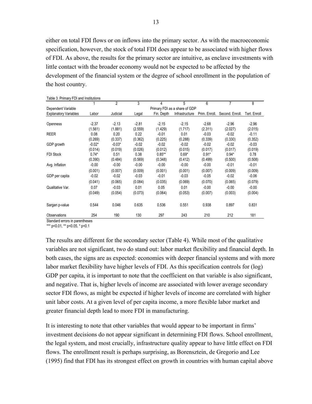either on total FDI flows or on inflows into the primary sector. As with the macroeconomic specification, however, the stock of total FDI does appear to be associated with higher flows of FDI. As above, the results for the primary sector are intuitive, as enclave investments with little contact with the broader economy would not be expected to be affected by the development of the financial system or the degree of school enrollment in the population of the host country.

| <b>I QUIC J. I TIITIQI Y I DI QITU IIIJULULUIJI</b> J |          | $\overline{c}$ | 3       | 4          | 5                             | 6             | $\overline{7}$ | 8            |
|-------------------------------------------------------|----------|----------------|---------|------------|-------------------------------|---------------|----------------|--------------|
| Dependent Variable                                    |          |                |         |            | Primary FDI as a share of GDP |               |                |              |
| <b>Explanatory Variables</b>                          | Labor    | Judicial       | Legal   | Fin. Depth | Infrastructure                | Prim. Enroll. | Second Enroll. | Tert. Enroll |
|                                                       |          |                |         |            |                               |               |                |              |
| Openness                                              | $-2.37$  | $-2.13$        | $-2.81$ | $-2.15$    | $-2.15$                       | $-2.68$       | $-2.96$        | $-2.96$      |
|                                                       | (1.561)  | (1.881)        | (2.559) | (1.429)    | (1.717)                       | (2.311)       | (2.027)        | (2.015)      |
| <b>REER</b>                                           | 0.08     | 0.20           | 0.22    | $-0.01$    | 0.01                          | $-0.03$       | $-0.02$        | $-0.11$      |
|                                                       | (0.269)  | (0.337)        | (0.362) | (0.225)    | (0.288)                       | (0.339)       | (0.330)        | (0.352)      |
| GDP growth                                            | $-0.02*$ | $-0.03*$       | $-0.02$ | $-0.02$    | $-0.02$                       | $-0.02$       | $-0.02$        | $-0.03$      |
|                                                       | (0.014)  | (0.019)        | (0.026) | (0.012)    | (0.015)                       | (0.017)       | (0.017)        | (0.019)      |
| <b>FDI Stock</b>                                      | $0.74*$  | 0.51           | 0.38    | $0.85**$   | $0.69*$                       | $0.91*$       | $0.94*$        | 0.78         |
|                                                       | (0.390)  | (0.484)        | (0.569) | (0.348)    | (0.412)                       | (0.499)       | (0.500)        | (0.508)      |
| Avg. Inflation                                        | $-0.00$  | $-0.00$        | $-0.00$ | $-0.00$    | $-0.00$                       | $-0.00$       | $-0.01$        | $-0.01$      |
|                                                       | (0.001)  | (0.007)        | (0.009) | (0.001)    | (0.001)                       | (0.007)       | (0.009)        | (0.009)      |
| GDP per capita                                        | $-0.02$  | $-0.02$        | $-0.03$ | $-0.01$    | $-0.03$                       | $-0.05$       | $-0.02$        | $-0.06$      |
|                                                       | (0.041)  | (0.065)        | (0.084) | (0.035)    | (0.069)                       | (0.070)       | (0.065)        | (0.079)      |
| Qualitative Var.                                      | 0.07     | $-0.03$        | 0.01    | 0.05       | 0.01                          | $-0.00$       | $-0.00$        | $-0.00$      |
|                                                       | (0.049)  | (0.054)        | (0.073) | (0.064)    | (0.053)                       | (0.007)       | (0.003)        | (0.004)      |
| Sargan p-value                                        | 0.544    | 0.046          | 0.635   | 0.536      | 0.551                         | 0.938         | 0.897          | 0.831        |
| <b>Observations</b>                                   | 254      | 190            | 130     | 297        | 243                           | 210           | 212            | 181          |

Table 3. Primary FDI and Institutions

Standard errors in parentheses

\*\*\* p<0.01, \*\* p<0.05, \* p<0.1

The results are different for the secondary sector (Table 4). While most of the qualitative variables are not significant, two do stand out: labor market flexibility and financial depth. In both cases, the signs are as expected: economies with deeper financial systems and with more labor market flexibility have higher levels of FDI. As this specification controls for (log) GDP per capita, it is important to note that the coefficient on that variable is also significant, and negative. That is, higher levels of income are associated with lower average secondary sector FDI flows, as might be expected if higher levels of income are correlated with higher unit labor costs. At a given level of per capita income, a more flexible labor market and greater financial depth lead to more FDI in manufacturing.

It is interesting to note that other variables that would appear to be important in firms' investment decisions do not appear significant in determining FDI flows. School enrollment, the legal system, and most crucially, infrastructure quality appear to have little effect on FDI flows. The enrollment result is perhaps surprising, as Borensztein, de Gregorio and Lee (1995) find that FDI has its strongest effect on growth in countries with human capital above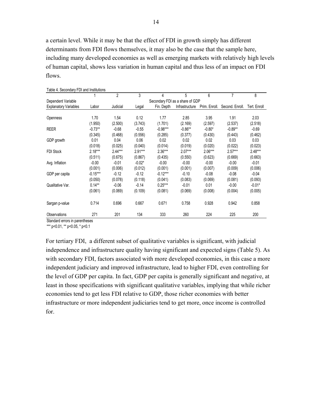a certain level. While it may be that the effect of FDI in growth simply has different determinants from FDI flows themselves, it may also be the case that the sample here, including many developed economies as well as emerging markets with relatively high levels of human capital, shows less variation in human capital and thus less of an impact on FDI flows.

|            |                                | 3        | 4          | 5              | 6             |                                 | 8            |
|------------|--------------------------------|----------|------------|----------------|---------------|---------------------------------|--------------|
|            |                                |          |            |                |               |                                 |              |
| Labor      | Judicial                       | Legal    | Fin. Depth | Infrastructure | Prim. Enroll. | Second. Enroll.                 | Tert. Enroll |
|            |                                |          |            |                |               |                                 |              |
| 1.70       | 1.54                           | 0.12     | 1.77       | 2.85           | 3.95          | 1.91                            | 2.03         |
| (1.950)    | (2.500)                        | (3.743)  | (1.701)    | (2.169)        | (2.597)       | (2.537)                         | (2.518)      |
| $-0.73**$  | $-0.68$                        | $-0.55$  | $-0.98***$ | $-0.86**$      | $-0.80*$      | $-0.89**$                       | $-0.69$      |
| (0.345)    | (0.468)                        | (0.556)  | (0.285)    | (0.377)        | (0.430)       | (0.443)                         | (0.462)      |
| 0.01       | 0.04                           | 0.06     | 0.02       | 0.02           | 0.02          | 0.03                            | 0.03         |
| (0.018)    | (0.025)                        | (0.040)  | (0.014)    | (0.019)        | (0.020)       | (0.022)                         | (0.023)      |
| $2.18***$  | $2.44***$                      | 2.91***  | $2.36***$  | $2.07***$      | $2.06***$     | $2.57***$                       | 2.48***      |
| (0.511)    | (0.675)                        | (0.867)  | (0.435)    | (0.550)        | (0.623)       | (0.669)                         | (0.663)      |
| $-0.00$    | $-0.01$                        | $-0.02*$ | $-0.00$    | $-0.00$        | $-0.00$       | $-0.00$                         | $-0.01$      |
| (0.001)    | (0.006)                        | (0.012)  | (0.001)    | (0.001)        | (0.007)       | (0.009)                         | (0.006)      |
| $-0.15***$ | $-0.12$                        | $-0.12$  | $-0.12***$ | $-0.10$        | $-0.08$       | $-0.08$                         | $-0.04$      |
| (0.050)    | (0.078)                        | (0.118)  | (0.041)    | (0.083)        | (0.069)       | (0.081)                         | (0.093)      |
| $0.14**$   | $-0.06$                        | $-0.14$  | $0.25***$  | $-0.01$        | 0.01          | $-0.00$                         | $-0.01*$     |
| (0.061)    | (0.069)                        | (0.109)  | (0.081)    | (0.069)        | (0.008)       | (0.004)                         | (0.005)      |
| 0.714      | 0.696                          | 0.667    | 0.671      | 0.758          | 0.928         | 0.942                           | 0.858        |
| 271        | 201                            | 134      | 333        | 260            | 224           | 225                             | 200          |
|            | Standard orrors in naronthonog |          |            |                |               | Secondary FDI as a share of GDP |              |

Table 4. Secondary FDI and Institutions

hdard errors in parentheses

\*\*\* p<0.01, \*\* p<0.05, \* p<0.1

For tertiary FDI, a different subset of qualitative variables is significant, with judicial independence and infrastructure quality having significant and expected signs (Table 5). As with secondary FDI, factors associated with more developed economies, in this case a more independent judiciary and improved infrastructure, lead to higher FDI, even controlling for the level of GDP per capita. In fact, GDP per capita is generally significant and negative, at least in those specifications with significant qualitative variables, implying that while richer economies tend to get less FDI relative to GDP, those richer economies with better infrastructure or more independent judiciaries tend to get more, once income is controlled for.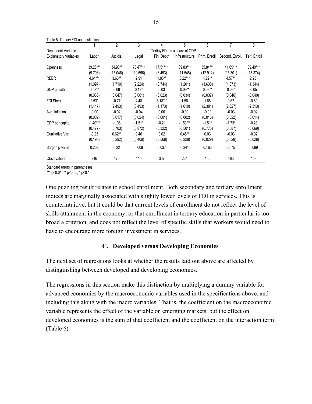|                              |            | $\overline{2}$ | 3        | 4          | 5                             | 6             | 7               | 8            |
|------------------------------|------------|----------------|----------|------------|-------------------------------|---------------|-----------------|--------------|
| Dependent Variable           |            |                |          |            | Tertiay FDI as a share of GDP |               |                 |              |
| <b>Explanatory Variables</b> | Labor      | Judicial       | Legal    | Fin. Depth | Infrastructure                | Prim. Enroll. | Second, Enroll, | Tert. Enroll |
|                              |            |                |          |            |                               |               |                 |              |
| Openness                     | 39.26***   | 34.93**        | 70.47*** | $17.51***$ | 39.83***                      | 35.84***      | 41.69***        | 39.49***     |
|                              | (9.703)    | (15.046)       | (19.656) | (6.453)    | (11.548)                      | (12.912)      | (15.301)        | (13.374)     |
| <b>REER</b>                  | $4.64***$  | $3.63**$       | 2.91     | $1.83**$   | $5.22***$                     | $4.22**$      | $4.57**$        | $2.23*$      |
|                              | (1.097)    | (1.710)        | (2.224)  | (0.744)    | (1.201)                       | (1.638)       | (1.873)         | (1.344)      |
| GDP growth                   | $0.08**$   | 0.06           | $0.12*$  | 0.03       | $0.09**$                      | $0.08**$      | $0.09*$         | 0.05         |
|                              | (0.030)    | (0.047)        | (0.061)  | (0.023)    | (0.034)                       | (0.037)       | (0.046)         | (0.040)      |
| <b>FDI Stock</b>             | $2.53*$    | $-0.77$        | 4.48     | $3.18***$  | 1.56                          | 1.68          | 0.62            | $-0.60$      |
|                              | (1.447)    | (2.493)        | (3.493)  | (1.173)    | (1.610)                       | (2.381)       | (2.627)         | (2.313)      |
| Avg. Inflation               | $-0.00$    | $-0.02$        | $-0.04$  | 0.00       | $-0.00$                       | $-0.02$       | $-0.03$         | $-0.02$      |
|                              | (0.002)    | (0.017)        | (0.024)  | (0.001)    | (0.002)                       | (0.016)       | (0.022)         | (0.014)      |
| GDP per capita               | $-1.40***$ | $-1.06$        | $-1.51*$ | $-0.21$    | $-1.53***$                    | $-1.51*$      | $-1.73*$        | $-0.23$      |
|                              | (0.477)    | (0.703)        | (0.872)  | (0.322)    | (0.501)                       | (0.775)       | (0.887)         | (0.669)      |
| Qualitative Var.             | $-0.23$    | $0.62**$       | 0.46     | 0.02       | $0.45***$                     | 0.03          | $-0.03$         | $-0.02$      |
|                              | (0.190)    | (0.292)        | (0.409)  | (0.568)    | (0.228)                       | (0.029)       | (0.028)         | (0.028)      |
| Sargan p-value               | 0.202      | 0.22           | 0.008    | 0.037      | 0.341                         | 0.166         | 0.075           | 0.089        |
| Observations                 | 246        | 176            | 110      | 307        | 234                           | 165           | 166             | 163          |

Table 5. Tertiary FDI and Institutions

Standard errors in parentheses

\*\*\* p<0.01, \*\* p<0.05, \* p<0.1

One puzzling result relates to school enrollment. Both secondary and tertiary enrollment indices are marginally associated with slightly lower levels of FDI in services. This is counterintuitive, but it could be that current levels of enrollment do not reflect the level of skills attainment in the economy, or that enrollment in tertiary education in particular is too broad a criterion, and does not reflect the level of specific skills that workers would need to have to encourage more foreign investment in services.

# **C. Developed versus Developing Economies**

The next set of regressions looks at whether the results laid out above are affected by distinguishing between developed and developing economies.

The regressions in this section make this distinction by multiplying a dummy variable for advanced economies by the macroeconomic variables used in the specifications above, and including this along with the macro variables. That is, the coefficient on the macroeconomic variable represents the effect of the variable on emerging markets, but the effect on developed economies is the sum of that coefficient and the coefficient on the interaction term (Table 6).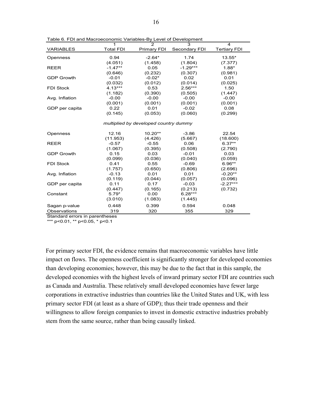|                   | 1                | $\mathcal{P}$                         | 3             | 4                   |
|-------------------|------------------|---------------------------------------|---------------|---------------------|
| <b>VARIABLES</b>  | <b>Total FDI</b> | Primary FDI                           | Secondary FDI | <b>Tertiary FDI</b> |
| Openness          | 0.94             | $-2.64*$                              | 1.74          | 13.55*              |
|                   | (4.051)          | (1.458)                               | (1.804)       | (7.377)             |
| <b>REER</b>       | $-1.47**$        | 0.05                                  | $-1.29***$    | $1.88*$             |
|                   | (0.646)          | (0.232)                               | (0.307)       | (0.981)             |
| <b>GDP Growth</b> | $-0.01$          | $-0.02*$                              | 0.02          | 0.01                |
|                   | (0.032)          | (0.012)                               | (0.014)       | (0.025)             |
| <b>FDI Stock</b>  | $4.13***$        | 0.53                                  | $2.56***$     | 1.50                |
|                   | (1.182)          | (0.390)                               | (0.505)       | (1.447)             |
| Avg. Inflation    | $-0.00$          | $-0.00$                               | $-0.00$       | $-0.00$             |
|                   | (0.001)          | (0.001)                               | (0.001)       | (0.001)             |
| GDP per capita    | 0.22             | 0.01                                  | $-0.02$       | 0.08                |
|                   | (0.145)          | (0.053)                               | (0.060)       | (0.299)             |
|                   |                  |                                       |               |                     |
|                   |                  | multiplied by developed country dummy |               |                     |
|                   |                  |                                       |               |                     |
| Openness          | 12.16            | $10.20**$                             | $-3.86$       | 22.54               |
|                   | (11.953)         | (4.426)                               | (5.667)       | (18.600)            |
| <b>REER</b>       | $-0.57$          | $-0.55$                               | 0.06          | $6.37**$            |
|                   | (1.067)          | (0.395)                               | (0.508)       | (2.790)             |
| <b>GDP Growth</b> | 0.15             | 0.03                                  | $-0.01$       | 0.03                |
|                   | (0.099)          | (0.036)                               | (0.040)       | (0.059)             |
| <b>FDI Stock</b>  | 0.41             | 0.55                                  | $-0.69$       | $6.96**$            |
|                   | (1.757)          | (0.650)                               | (0.806)       | (2.696)             |
| Avg. Inflation    | $-0.13$          | 0.01                                  | 0.01          | $-0.20**$           |
|                   | (0.119)          | (0.044)                               | (0.057)       | (0.096)             |
| GDP per capita    | 0.11             | 0.17                                  | $-0.03$       | $-2.27***$          |
|                   | (0.447)          | (0.165)                               | (0.213)       | (0.732)             |
| Constant          | $5.79*$          | 0.00                                  | $6.28***$     |                     |
|                   | (3.010)          | (1.083)                               | (1.445)       |                     |
| Sagan p-value     | 0.448            | 0.399                                 | 0.594         | 0.048               |
| Observations      | 319              | 320                                   | 355           | 329                 |

Table 6. FDI and Macroeconomic Variables-By Level of Development

Standard errors in parentheses

\*\*\* p<0.01, \*\* p<0.05, \* p<0.1

For primary sector FDI, the evidence remains that macroeconomic variables have little impact on flows. The openness coefficient is significantly stronger for developed economies than developing economies; however, this may be due to the fact that in this sample, the developed economies with the highest levels of inward primary sector FDI are countries such as Canada and Australia. These relatively small developed economies have fewer large corporations in extractive industries than countries like the United States and UK, with less primary sector FDI (at least as a share of GDP); thus their trade openness and their willingness to allow foreign companies to invest in domestic extractive industries probably stem from the same source, rather than being causally linked.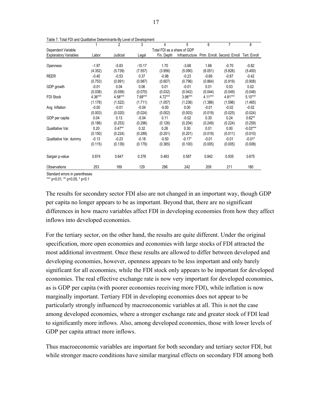|                              |         | $\overline{c}$ | 3        | 4                           | 5              | 6         | 7                                         | 8          |
|------------------------------|---------|----------------|----------|-----------------------------|----------------|-----------|-------------------------------------------|------------|
| Dependent Variable           |         |                |          | Total FDI as a share of GDP |                |           |                                           |            |
| <b>Explanatory Variables</b> | Labor   | Judicial       | Legal    | Fin. Depth                  | Infrastructure |           | Prim. Enroll. Second. Enroll Tert. Enroll |            |
|                              |         |                |          |                             |                |           |                                           |            |
| Openness                     | $-1.97$ | $-5.83$        | $-10.17$ | 1.70                        | $-3.68$        | 1.66      | $-0.70$                                   | $-0.82$    |
|                              | (4.352) | (5.739)        | (7.557)  | (3.956)                     | (5.090)        | (6.051)   | (5.826)                                   | (5.400)    |
| <b>REER</b>                  | $-0.40$ | $-0.53$        | 0.37     | $-0.98$                     | $-0.23$        | $-0.69$   | $-0.87$                                   | $-0.42$    |
|                              | (0.753) | (0.991)        | (0.987)  | (0.607)                     | (0.796)        | (0.864)   | (0.919)                                   | (0.908)    |
| GDP growth                   | $-0.01$ | 0.04           | 0.06     | 0.01                        | $-0.01$        | 0.01      | 0.03                                      | 0.02       |
|                              | (0.038) | (0.058)        | (0.070)  | (0.032)                     | (0.042)        | (0.044)   | (0.049)                                   | (0.048)    |
| <b>FDI Stock</b>             | 4.36*** | 4.58***        | 7.69***  | 4.72***                     | 3.98***        | $4.11***$ | 4.81***                                   | $5.10***$  |
|                              | (1.178) | (1.522)        | (1.711)  | (1.057)                     | (1.236)        | (1.386)   | (1.596)                                   | (1.465)    |
| Avg. Inflation               | $-0.00$ | $-0.01$        | $-0.04$  | $-0.00$                     | 0.00           | $-0.01$   | $-0.02$                                   | $-0.02$    |
|                              | (0.003) | (0.020)        | (0.024)  | (0.002)                     | (0.003)        | (0.019)   | (0.025)                                   | (0.024)    |
| GDP per capita               | 0.04    | 0.13           | $-0.04$  | 0.11                        | $-0.02$        | 0.30      | 0.24                                      | $0.62**$   |
|                              | (0.186) | (0.253)        | (0.296)  | (0.126)                     | (0.204)        | (0.249)   | (0.224)                                   | (0.259)    |
| Qualitative Var.             | 0.20    | $0.47**$       | 0.32     | 0.26                        | 0.30           | 0.01      | 0.00                                      | $-0.03***$ |
|                              | (0.150) | (0.224)        | (0.289)  | (0.201)                     | (0.201)        | (0.019)   | (0.011)                                   | (0.010)    |
| Qualitative Var. dummy       | $-0.13$ | $-0.23$        | $-0.18$  | $-0.50$                     | $-0.17*$       | $-0.01$   | $-0.01$                                   | $-0.01*$   |
|                              | (0.115) | (0.139)        | (0.179)  | (0.365)                     | (0.100)        | (0.005)   | (0.005)                                   | (0.008)    |
| Sargan p-value               | 0.674   | 0.647          | 0.376    | 0.483                       | 0.587          | 0.842     | 0.935                                     | 0.675      |
| Observations                 | 253     | 189            | 129      | 296                         | 242            | 209       | 211                                       | 180        |

Table 7. Total FDI and Qualitative Determinants-By Level of Development

Standard errors in parentheses

\*\*\* p<0.01, \*\* p<0.05, \* p<0.1

The results for secondary sector FDI also are not changed in an important way, though GDP per capita no longer appears to be as important. Beyond that, there are no significant differences in how macro variables affect FDI in developing economies from how they affect inflows into developed economies.

For the tertiary sector, on the other hand, the results are quite different. Under the original specification, more open economies and economies with large stocks of FDI attracted the most additional investment. Once these results are allowed to differ between developed and developing economies, however, openness appears to be less important and only barely significant for all economies, while the FDI stock only appears to be important for developed economies. The real effective exchange rate is now very important for developed economies, as is GDP per capita (with poorer economies receiving more FDI), while inflation is now marginally important. Tertiary FDI in developing economies does not appear to be particularly strongly influenced by macroeconomic variables at all. This is not the case among developed economies, where a stronger exchange rate and greater stock of FDI lead to significantly more inflows. Also, among developed economies, those with lower levels of GDP per capita attract more inflows.

Thus macroeconomic variables are important for both secondary and tertiary sector FDI, but while stronger macro conditions have similar marginal effects on secondary FDI among both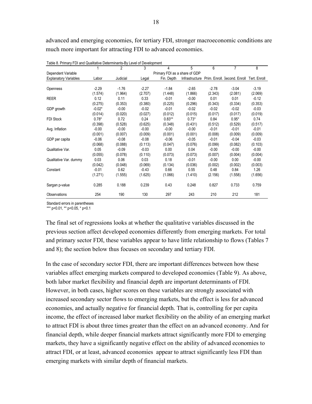advanced and emerging economies, for tertiary FDI, stronger macroeconomic conditions are much more important for attracting FDI to advanced economies.

| Table 6. Fillingly T.Di and Qualitative Determinational Level of Development |          | $\mathfrak{p}$ | 3       | 4                             | 5              | 6       | 7                                         | 8       |
|------------------------------------------------------------------------------|----------|----------------|---------|-------------------------------|----------------|---------|-------------------------------------------|---------|
| Dependent Variable                                                           |          |                |         | Primary FDI as a share of GDP |                |         |                                           |         |
| <b>Explanatory Variables</b>                                                 | Labor    | Judicial       | Legal   | Fin. Depth                    | Infrastructure |         | Prim. Enroll. Second. Enroll Tert. Enroll |         |
|                                                                              |          |                |         |                               |                |         |                                           |         |
| Openness                                                                     | $-2.29$  | $-1.76$        | $-2.27$ | $-1.84$                       | $-2.65$        | $-2.78$ | $-3.04$                                   | $-3.19$ |
|                                                                              | (1.574)  | (1.964)        | (2.707) | (1.448)                       | (1.866)        | (2.343) | (2.081)                                   | (2.069) |
| <b>REER</b>                                                                  | 0.12     | 0.11           | 0.33    | $-0.01$                       | $-0.00$        | 0.01    | 0.01                                      | $-0.12$ |
|                                                                              | (0.275)  | (0.353)        | (0.380) | (0.225)                       | (0.296)        | (0.343) | (0.334)                                   | (0.353) |
| GDP growth                                                                   | $-0.02*$ | $-0.00$        | $-0.02$ | $-0.01$                       | $-0.02$        | $-0.02$ | $-0.02$                                   | $-0.03$ |
|                                                                              | (0.014)  | (0.020)        | (0.027) | (0.012)                       | (0.015)        | (0.017) | (0.017)                                   | (0.019) |
| FDI Stock                                                                    | $0.78*$  | 0.72           | 0.24    | $0.83**$                      | $0.73*$        | 0.84    | $0.95*$                                   | 0.74    |
|                                                                              | (0.398)  | (0.528)        | (0.625) | (0.348)                       | (0.431)        | (0.512) | (0.529)                                   | (0.517) |
| Avg. Inflation                                                               | $-0.00$  | $-0.00$        | $-0.00$ | $-0.00$                       | $-0.00$        | $-0.01$ | $-0.01$                                   | $-0.01$ |
|                                                                              | (0.001)  | (0.007)        | (0.009) | (0.001)                       | (0.001)        | (0.008) | (0.009)                                   | (0.009) |
| GDP per capita                                                               | $-0.06$  | $-0.08$        | $-0.08$ | $-0.06$                       | $-0.05$        | $-0.01$ | $-0.04$                                   | $-0.03$ |
|                                                                              | (0.068)  | (0.088)        | (0.113) | (0.047)                       | (0.076)        | (0.099) | (0.082)                                   | (0.103) |
| Qualitative Var.                                                             | 0.05     | $-0.09$        | $-0.03$ | 0.00                          | 0.04           | $-0.00$ | $-0.00$                                   | $-0.00$ |
|                                                                              | (0.055)  | (0.078)        | (0.110) | (0.073)                       | (0.073)        | (0.007) | (0.004)                                   | (0.004) |
| Qualitative Var. dummy                                                       | 0.03     | 0.06           | 0.03    | 0.18                          | $-0.01$        | $-0.00$ | 0.00                                      | $-0.00$ |
|                                                                              | (0.042)  | (0.048)        | (0.069) | (0.134)                       | (0.036)        | (0.002) | (0.002)                                   | (0.003) |
| Constant                                                                     | $-0.01$  | 0.62           | $-0.43$ | 0.66                          | 0.55           | 0.48    | 0.84                                      | 1.26    |
|                                                                              | (1.271)  | (1.555)        | (1.625) | (1.066)                       | (1.410)        | (2.156) | (1.558)                                   | (1.656) |
| Sargan p-value                                                               | 0.285    | 0.188          | 0.239   | 0.43                          | 0.248          | 0.827   | 0.733                                     | 0.759   |
| Observations                                                                 | 254      | 190            | 130     | 297                           | 243            | 210     | 212                                       | 181     |

Table 8. Primary FDI and Qualitative Determinants-By Level of Development

Standard errors in parentheses

\*\*\* p<0.01, \*\* p<0.05, \* p<0.1

The final set of regressions looks at whether the qualitative variables discussed in the previous section affect developed economies differently from emerging markets. For total and primary sector FDI, these variables appear to have little relationship to flows (Tables 7 and 8); the section below thus focuses on secondary and tertiary FDI.

In the case of secondary sector FDI, there are important differences between how these variables affect emerging markets compared to developed economies (Table 9). As above, both labor market flexibility and financial depth are important determinants of FDI. However, in both cases, higher scores on these variables are strongly associated with increased secondary sector flows to emerging markets, but the effect is less for advanced economies, and actually negative for financial depth. That is, controlling for per capita income, the effect of increased labor market flexibility on the ability of an emerging market to attract FDI is about three times greater than the effect on an advanced economy. And for financial depth, while deeper financial markets attract significantly more FDI to emerging markets, they have a significantly negative effect on the ability of advanced economies to attract FDI, or at least, advanced economies appear to attract significantly less FDI than emerging markets with similar depth of financial markets.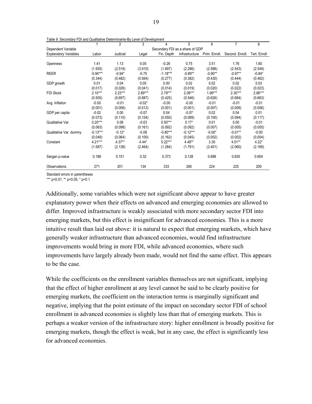| Table 9. Secondary FDT and Qualitative Determinants-By Level of Development |            |                |           |            |                                 |               |                 |              |
|-----------------------------------------------------------------------------|------------|----------------|-----------|------------|---------------------------------|---------------|-----------------|--------------|
|                                                                             |            | $\overline{2}$ | 3         | 4          | 5                               | 6             | $\overline{7}$  | 8            |
| Dependent Variable                                                          |            |                |           |            | Secondary FDI as a share of GDP |               |                 |              |
| <b>Explanatory Variables</b>                                                | Labor      | Judicial       | Legal     | Fin. Depth | Infrastructure                  | Prim. Enroll. | Second. Enroll. | Tert. Enroll |
|                                                                             |            |                |           |            |                                 |               |                 |              |
| Openness                                                                    | 1.41       | 1.13           | 0.05      | $-0.26$    | 0.75                            | 3.51          | 1.76            | 1.60         |
|                                                                             | (1.935)    | (2.519)        | (3.910)   | (1.697)    | (2.286)                         | (2.588)       | (2.543)         | (2.549)      |
| <b>REER</b>                                                                 | $-0.94***$ | $-0.94*$       | $-0.75$   | $-1.18***$ | $-0.89**$                       | $-0.90**$     | $-0.97**$       | $-0.84*$     |
|                                                                             | (0.344)    | (0.482)        | (0.564)   | (0.277)    | (0.382)                         | (0.430)       | (0.444)         | (0.462)      |
| GDP growth                                                                  | 0.01       | 0.04           | 0.05      | 0.00       | 0.02                            | 0.02          | 0.02            | 0.03         |
|                                                                             | (0.017)    | (0.026)        | (0.041)   | (0.014)    | (0.019)                         | (0.020)       | (0.022)         | (0.023)      |
| <b>FDI Stock</b>                                                            | $2.10***$  | $2.23***$      | $2.89***$ | $2.79***$  | $2.09***$                       | $1.99***$     | $2.30***$       | $2.66***$    |
|                                                                             | (0.505)    | (0.697)        | (0.887)   | (0.425)    | (0.546)                         | (0.626)       | (0.684)         | (0.663)      |
| Avg. Inflation                                                              | $-0.00$    | $-0.01$        | $-0.02*$  | $-0.00$    | $-0.00$                         | $-0.01$       | $-0.01$         | $-0.01$      |
|                                                                             | (0.001)    | (0.006)        | (0.012)   | (0.001)    | (0.001)                         | (0.007)       | (0.009)         | (0.006)      |
| GDP per capita                                                              | $-0.02$    | 0.00           | $-0.07$   | 0.04       | $-0.07$                         | 0.02          | 0.04            | 0.01         |
|                                                                             | (0.073)    | (0.110)        | (0.154)   | (0.050)    | (0.089)                         | (0.100)       | (0.094)         | (0.117)      |
| Qualitative Var.                                                            | $0.20***$  | 0.08           | $-0.03$   | $0.50***$  | $0.17*$                         | 0.01          | 0.00            | $-0.01$      |
|                                                                             | (0.063)    | (0.098)        | (0.161)   | (0.092)    | (0.092)                         | (0.007)       | (0.005)         | (0.005)      |
| Qualitative Var. dummy                                                      | $-0.13***$ | $-0.12*$       | $-0.08$   | $-0.80***$ | $-0.12***$                      | $-0.00*$      | $-0.01**$       | $-0.00$      |
|                                                                             | (0.049)    | (0.064)        | (0.100)   | (0.162)    | (0.045)                         | (0.002)       | (0.002)         | (0.004)      |
| Constant                                                                    | $4.21***$  | $4.37**$       | $4.44*$   | $5.22***$  | $4.48**$                        | 3.30          | $4.51**$        | $4.22*$      |
|                                                                             | (1.587)    | (2.138)        | (2.464)   | (1.284)    | (1.791)                         | (2.401)       | (2.060)         | (2.169)      |
| Sargan p-value                                                              | 0.186      | 0.151          | 0.32      | 0.373      | 0.128                           | 0.688         | 0.655           | 0.604        |
| Observations                                                                | 271        | 201            | 134       | 333        | 260                             | 224           | 225             | 200          |

Table 9. Secondary FDI and Qualitative Determinants-By Level of Development

Standard errors in parentheses

\*\*\* p<0.01, \*\* p<0.05, \* p<0.1

Additionally, some variables which were not significant above appear to have greater explanatory power when their effects on advanced and emerging economies are allowed to differ. Improved infrastructure is weakly associated with more secondary sector FDI into emerging markets, but this effect is insignificant for advanced economies. This is a more intuitive result than laid out above: it is natural to expect that emerging markets, which have generally weaker infrastructure than advanced economies, would find infrastructure improvements would bring in more FDI, while advanced economies, where such improvements have largely already been made, would not find the same effect. This appears to be the case.

While the coefficients on the enrollment variables themselves are not significant, implying that the effect of higher enrollment at any level cannot be said to be clearly positive for emerging markets, the coefficient on the interaction terms is marginally significant and negative, implying that the point estimate of the impact on secondary sector FDI of school enrollment in advanced economies is slightly less than that of emerging markets. This is perhaps a weaker version of the infrastructure story: higher enrollment is broadly positive for emerging markets, though the effect is weak, but in any case, the effect is significantly less for advanced economies.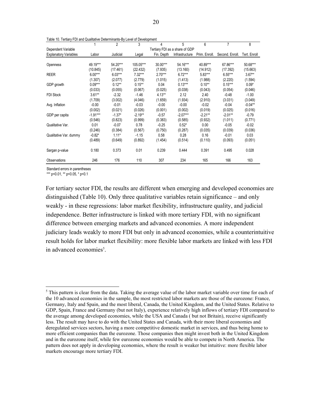|                              |            | $\overline{2}$ | 3         | 4                              | 5              | 6             | 7               | 8            |
|------------------------------|------------|----------------|-----------|--------------------------------|----------------|---------------|-----------------|--------------|
| Dependent Variable           |            |                |           | Tertiary FDI as a share of GDP |                |               |                 |              |
| <b>Explanatory Variables</b> | Labor      | Judicial       | Legal     | Fin. Depth                     | Infrastructure | Prim. Enroll. | Second. Enroll. | Tert. Enroll |
|                              |            |                |           |                                |                |               |                 |              |
| Openness                     | 49.19***   | 54.20***       | 105.05*** | 30.00***                       | 54.16***       | 40.89***      | 67.86***        | 50.68***     |
|                              | (10.845)   | (17.461)       | (22.432)  | (7.935)                        | (13.160)       | (14.912)      | (17.392)        | (15.663)     |
| <b>REER</b>                  | $6.00***$  | $6.03***$      | $7.32***$ | $2.70***$                      | $6.72***$      | $5.83***$     | $6.55***$       | $3.67**$     |
|                              | (1.307)    | (2.077)        | (2.779)   | (1.015)                        | (1.413)        | (1.988)       | (2.220)         | (1.594)      |
| GDP growth                   | $0.09***$  | $0.12**$       | $0.15***$ | 0.04                           | $0.13***$      | $0.10**$      | $0.15***$       | $0.09*$      |
|                              | (0.033)    | (0.055)        | (0.067)   | (0.025)                        | (0.038)        | (0.043)       | (0.054)         | (0.046)      |
| <b>FDI Stock</b>             | $3.61**$   | $-2.32$        | $-1.46$   | $4.13**$                       | 2.12           | 2.40          | $-0.48$         | $-1.00$      |
|                              | (1.709)    | (3.002)        | (4.046)   | (1.659)                        | (1.934)        | (2.910)       | (3.031)         | (3.049)      |
| Avg. Inflation               | $-0.00$    | $-0.01$        | $-0.03$   | $-0.00$                        | $-0.00$        | $-0.02$       | $-0.04$         | $-0.04**$    |
|                              | (0.002)    | (0.021)        | (0.026)   | (0.001)                        | (0.002)        | (0.019)       | (0.025)         | (0.016)      |
| GDP per capita               | $-1.91***$ | $-1.37*$       | $-2.19**$ | $-0.57$                        | $-2.07***$     | $-2.21**$     | $-2.01**$       | $-0.79$      |
|                              | (0.546)    | (0.823)        | (0.999)   | (0.383)                        | (0.585)        | (0.932)       | (1.011)         | (0.771)      |
| Qualitative Var.             | 0.01       | $-0.07$        | 0.78      | $-0.25$                        | $0.52*$        | 0.00          | $-0.05$         | $-0.02$      |
|                              | (0.246)    | (0.384)        | (0.567)   | (0.750)                        | (0.287)        | (0.035)       | (0.039)         | (0.036)      |
| Qualitative Var. dummy       | $-0.82*$   | $1.11*$        | $-1.15$   | 0.58                           | 0.28           | 0.16          | $-0.01$         | 0.03         |
|                              | (0.489)    | (0.649)        | (0.892)   | (1.454)                        | (0.514)        | (0.110)       | (0.093)         | (0.051)      |
| Sargan p-value               | 0.180      | 0.373          | 0.01      | 0.239                          | 0.444          | 0.391         | 0.495           | 0.028        |
| Observations                 | 246        | 176            | 110       | 307                            | 234            | 165           | 166             | 163          |

Table 10. Tertiary FDI and Qualitative Determinants-By Level of Development

Standard errors in parentheses

1

\*\*\* p<0.01, \*\* p<0.05, \* p<0.1

For tertiary sector FDI, the results are different when emerging and developed economies are distinguished (Table 10). Only three qualitative variables retain significance – and only weakly - in these regressions: labor market flexibility, infrastructure quality, and judicial independence. Better infrastructure is linked with more tertiary FDI, with no significant difference between emerging markets and advanced economies. A more independent judiciary leads weakly to more FDI but only in advanced economies, while a counterintuitive result holds for labor market flexibility: more flexible labor markets are linked with less FDI in advanced economies<sup>5</sup>.

 $<sup>5</sup>$  This pattern is clear from the data. Taking the average value of the labor market variable over time for each of</sup> the 10 advanced economies in the sample, the most restricted labor markets are those of the eurozone: France, Germany, Italy and Spain, and the most liberal, Canada, the United Kingdom, and the United States. Relative to GDP, Spain, France and Germany (but not Italy), experience relatively high inflows of tertiary FDI compared to the average among developed economies, while the USA and Canada ( but not Britain), receive significantly less. The result may have to do with the United States and Canada, with their more liberal economies and deregulated services sectors, having a more competitive domestic market in services, and thus being home to more efficient companies than the eurozone. Those companies then might invest both in the United Kingdom and in the eurozone itself, while few eurozone economies would be able to compete in North America. The pattern does not apply in developing economies, where the result is weaker but intuitive: more flexible labor markets encourage more tertiary FDI.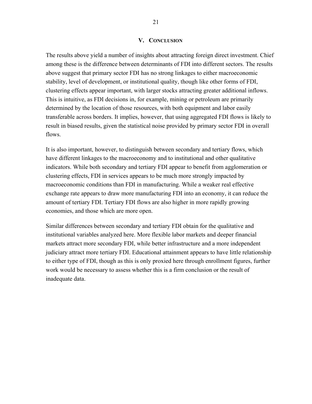#### **V. CONCLUSION**

The results above yield a number of insights about attracting foreign direct investment. Chief among these is the difference between determinants of FDI into different sectors. The results above suggest that primary sector FDI has no strong linkages to either macroeconomic stability, level of development, or institutional quality, though like other forms of FDI, clustering effects appear important, with larger stocks attracting greater additional inflows. This is intuitive, as FDI decisions in, for example, mining or petroleum are primarily determined by the location of those resources, with both equipment and labor easily transferable across borders. It implies, however, that using aggregated FDI flows is likely to result in biased results, given the statistical noise provided by primary sector FDI in overall flows.

It is also important, however, to distinguish between secondary and tertiary flows, which have different linkages to the macroeconomy and to institutional and other qualitative indicators. While both secondary and tertiary FDI appear to benefit from agglomeration or clustering effects, FDI in services appears to be much more strongly impacted by macroeconomic conditions than FDI in manufacturing. While a weaker real effective exchange rate appears to draw more manufacturing FDI into an economy, it can reduce the amount of tertiary FDI. Tertiary FDI flows are also higher in more rapidly growing economies, and those which are more open.

Similar differences between secondary and tertiary FDI obtain for the qualitative and institutional variables analyzed here. More flexible labor markets and deeper financial markets attract more secondary FDI, while better infrastructure and a more independent judiciary attract more tertiary FDI. Educational attainment appears to have little relationship to either type of FDI, though as this is only proxied here through enrollment figures, further work would be necessary to assess whether this is a firm conclusion or the result of inadequate data.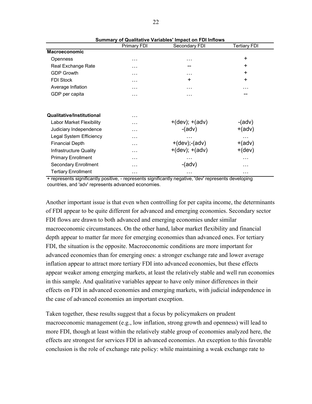|                                  | <b>Primary FDI</b> | Secondary FDI       | Tertiary FDI    |
|----------------------------------|--------------------|---------------------|-----------------|
| <b>Macroeconomic</b>             |                    |                     |                 |
| Openness                         | $\cdots$           | .                   | $\ddot{}$       |
| Real Exchange Rate               | .                  |                     | $\ddot{}$       |
| <b>GDP Growth</b>                | $\cdots$           | .                   | $\ddot{}$       |
| <b>FDI Stock</b>                 | $\cdots$           | ÷                   | $\ddot{}$       |
| Average Inflation                | $\cdots$           | .                   | .               |
| GDP per capita                   | $\cdots$           | .                   |                 |
|                                  |                    |                     |                 |
| <b>Qualitative/Institutional</b> | $\cdots$           |                     |                 |
| <b>Labor Market Flexibility</b>  | $\cdots$           | $+(dev); +(adv)$    | $-(\text{adv})$ |
| Judiciary Independence           | $\cdots$           | $-(adv)$            | $+(adv)$        |
| Legal System Efficiency          | $\cdots$           |                     | .               |
| <b>Financial Depth</b>           | $\cdots$           | $+(dev)$ ;- $(adv)$ | $+(adv)$        |
| Infrastructure Quality           | $\cdots$           | $+(dev); +(adv)$    | $+(dev)$        |
| <b>Primary Enrollment</b>        | $\cdots$           | .                   | .               |
| Secondary Enrollment             | $\cdots$           | $-(\text{adv})$     | .               |
| <b>Tertiary Enrollment</b>       | $\cdots$           | .                   | .               |

**Summary of Qualitative Variables' Impact on FDI Inflows**

+ represents significantly positive, - represents significantly negative, 'dev' represents developing countries, and 'adv' represents advanced economies.

Another important issue is that even when controlling for per capita income, the determinants of FDI appear to be quite different for advanced and emerging economies. Secondary sector FDI flows are drawn to both advanced and emerging economies under similar macroeconomic circumstances. On the other hand, labor market flexibility and financial depth appear to matter far more for emerging economies than advanced ones. For tertiary FDI, the situation is the opposite. Macroeconomic conditions are more important for advanced economies than for emerging ones: a stronger exchange rate and lower average inflation appear to attract more tertiary FDI into advanced economies, but these effects appear weaker among emerging markets, at least the relatively stable and well run economies in this sample. And qualitative variables appear to have only minor differences in their effects on FDI in advanced economies and emerging markets, with judicial independence in the case of advanced economies an important exception.

Taken together, these results suggest that a focus by policymakers on prudent macroeconomic management (e.g., low inflation, strong growth and openness) will lead to more FDI, though at least within the relatively stable group of economies analyzed here, the effects are strongest for services FDI in advanced economies. An exception to this favorable conclusion is the role of exchange rate policy: while maintaining a weak exchange rate to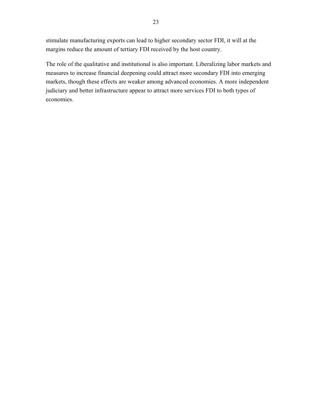stimulate manufacturing exports can lead to higher secondary sector FDI, it will at the margins reduce the amount of tertiary FDI received by the host country.

The role of the qualitative and institutional is also important. Liberalizing labor markets and measures to increase financial deepening could attract more secondary FDI into emerging markets, though these effects are weaker among advanced economies. A more independent judiciary and better infrastructure appear to attract more services FDI to both types of economies.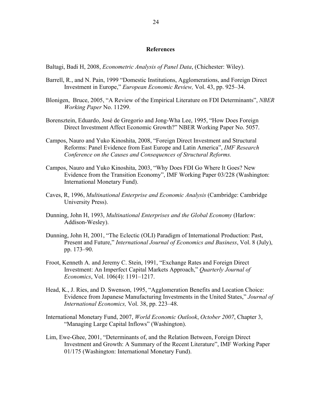#### **References**

Baltagi, Badi H, 2008, *Econometric Analysis of Panel Data*, (Chichester: Wiley).

- Barrell, R., and N. Pain, 1999 "Domestic Institutions, Agglomerations, and Foreign Direct Investment in Europe," *European Economic Review,* Vol. 43, pp. 925–34.
- Blonigen, Bruce, 2005, "A Review of the Empirical Literature on FDI Determinants", *NBER Working Paper* No. 11299.
- Borensztein, Eduardo, José de Gregorio and Jong-Wha Lee, 1995, "How Does Foreign Direct Investment Affect Economic Growth?" NBER Working Paper No. 5057.
- Campos, Nauro and Yuko Kinoshita, 2008, "Foreign Direct Investment and Structural Reforms: Panel Evidence from East Europe and Latin America", *IMF Research Conference on the Causes and Consequences of Structural Reforms.*
- Campos, Nauro and Yuko Kinoshita, 2003, "Why Does FDI Go Where It Goes? New Evidence from the Transition Economy", IMF Working Paper 03/228 (Washington: International Monetary Fund).
- Caves, R, 1996, *Multinational Enterprise and Economic Analysis* (Cambridge: Cambridge University Press).
- Dunning, John H, 1993, *Multinational Enterprises and the Global Economy* (Harlow: Addison-Wesley).
- Dunning, John H, 2001, "The Eclectic (OLI) Paradigm of International Production: Past, Present and Future," *International Journal of Economics and Business*, Vol. 8 (July), pp. 173–90.
- Froot, Kenneth A. and Jeremy C. Stein, 1991, "Exchange Rates and Foreign Direct Investment: An Imperfect Capital Markets Approach," *Quarterly Journal of Economics*, Vol. 106(4): 1191–1217.
- Head, K., J. Ries, and D. Swenson, 1995, "Agglomeration Benefits and Location Choice: Evidence from Japanese Manufacturing Investments in the United States," *Journal of International Economics,* Vol. 38, pp. 223–48.
- International Monetary Fund, 2007, *World Economic Outlook*, *October 2007*, Chapter 3, "Managing Large Capital Inflows" (Washington).
- Lim, Ewe-Ghee, 2001, "Determinants of, and the Relation Between, Foreign Direct Investment and Growth: A Summary of the Recent Literature", IMF Working Paper 01/175 (Washington: International Monetary Fund).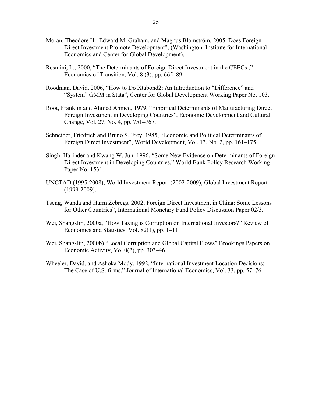- Moran, Theodore H., Edward M. Graham, and Magnus Blomström, 2005, Does Foreign Direct Investment Promote Development?, (Washington: Institute for International Economics and Center for Global Development).
- Resmini, L., 2000, "The Determinants of Foreign Direct Investment in the CEECs ," Economics of Transition, Vol. 8 (3), pp. 665–89.
- Roodman, David, 2006, "How to Do Xtabond2: An Introduction to "Difference" and "System" GMM in Stata", Center for Global Development Working Paper No. 103.
- Root, Franklin and Ahmed Ahmed, 1979, "Empirical Determinants of Manufacturing Direct Foreign Investment in Developing Countries", Economic Development and Cultural Change, Vol. 27, No. 4, pp. 751–767.
- Schneider, Friedrich and Bruno S. Frey, 1985, "Economic and Political Determinants of Foreign Direct Investment", World Development, Vol. 13, No. 2, pp. 161–175.
- Singh, Harinder and Kwang W. Jun, 1996, "Some New Evidence on Determinants of Foreign Direct Investment in Developing Countries," World Bank Policy Research Working Paper No. 1531.
- UNCTAD (1995-2008), World Investment Report (2002-2009), Global Investment Report (1999-2009).
- Tseng, Wanda and Harm Zebregs, 2002, Foreign Direct Investment in China: Some Lessons for Other Countries", International Monetary Fund Policy Discussion Paper 02/3.
- Wei, Shang-Jin, 2000a, "How Taxing is Corruption on International Investors?" Review of Economics and Statistics, Vol. 82(1), pp. 1–11.
- Wei, Shang-Jin, 2000b) "Local Corruption and Global Capital Flows" Brookings Papers on Economic Activity, Vol 0(2), pp. 303–46.
- Wheeler, David, and Ashoka Mody, 1992, "International Investment Location Decisions: The Case of U.S. firms," Journal of International Economics, Vol. 33, pp. 57–76.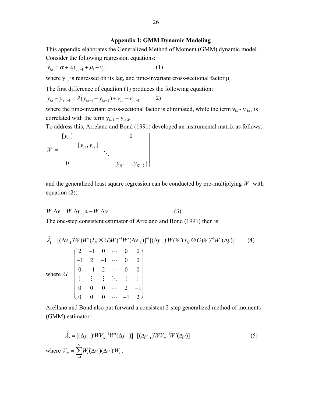#### **Appendix I: GMM Dynamic Modeling**

This appendix elaborates the Generalized Method of Moment (GMM) dynamic model. Consider the following regression equations:

$$
y_{i,t} = \alpha + \lambda y_{i,t-1} + \mu_i + v_{i,t}
$$
 (1)

where  $y_{i,t}$  is regressed on its lag, and time-invariant cross-sectional factor  $\mu_i$ .

The first difference of equation (1) produces the following equation:

$$
y_{i,t} - y_{y,t-1} = \lambda (y_{i,t-1} - y_{i,t-2}) + v_{i,t} - v_{i,t-1}
$$
 2)

where the time-invariant cross-sectional factor is eliminated, while the term  $v_{i,t}$  -  $v_{i,t-1}$  is correlated with the term  $y_{i,t-1} - y_{i,t-2}$ .

To address this, Arrelano and Bond (1991) developed an instrumental matrix as follows:

$$
W_{i} = \begin{bmatrix} [y_{i1}] & & & 0 \\ & [y_{i1}, y_{i2}] & & & \\ & & \ddots & & \\ 0 & & & [y_{i1}, \dots, y_{iT-2}] \end{bmatrix}
$$

and the generalized least square regression can be conducted by pre-multiplying  $W'$  with equation (2):

$$
W^{\dagger} \Delta y = W^{\dagger} \Delta y_{-1} \lambda + W^{\dagger} \Delta v \tag{3}
$$

The one-step consistent estimator of Arrelano and Bond (1991) then is

$$
\hat{\lambda}_1 = [(\Delta y_{-1})' W (W'(I_N \otimes G) W)^{-1} W' (\Delta y_{-1})]^{-1} [(\Delta y_{-1})' W (W'(I_N \otimes G) W)^{-1} W' (\Delta y)] \tag{4}
$$
\nwhere  $G = \begin{pmatrix}\n2 & -1 & 0 & \cdots & 0 & 0 \\
-1 & 2 & -1 & \cdots & 0 & 0 \\
0 & -1 & 2 & \cdots & 0 & 0 \\
\vdots & \vdots & \vdots & \ddots & \vdots & \vdots \\
0 & 0 & 0 & \cdots & 2 & -1 \\
0 & 0 & 0 & \cdots & -1 & 2\n\end{pmatrix}$ 

Arellano and Bond also put forward a consistent 2-step generalized method of moments (GMM) estimator:

$$
\hat{\lambda}_2 = [(\Delta y_{-1})' W V_N^{-1} W' (\Delta y_{-1})]^{-1} [(\Delta y_{-1})' W V_N^{-1} W' (\Delta y)]
$$
\nwhere  $V_N = \sum_{i=1}^N W_i' (\Delta v_i) (\Delta v_i)' W_i$ . (5)